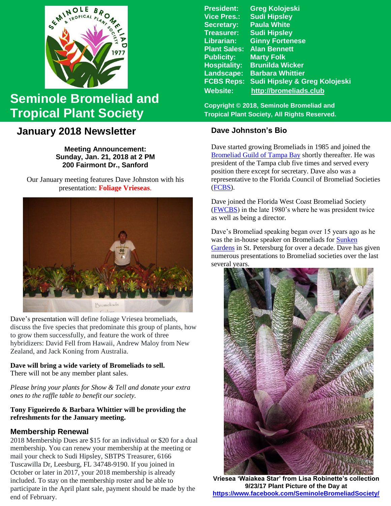

# **Seminole Bromeliad and Tropical Plant Society**

# **January 2018 Newsletter**

**Meeting Announcement: Sunday, Jan. 21, 2018 at 2 PM 200 Fairmont Dr., Sanford**

Our January meeting features Dave Johnston with his presentation: **Foliage Vrieseas**.



Dave's presentation will define foliage Vriesea bromeliads, discuss the five species that predominate this group of plants, how to grow them successfully, and feature the work of three hybridizers: David Fell from Hawaii, Andrew Maloy from New Zealand, and Jack Koning from Australia.

# **Dave will bring a wide variety of Bromeliads to sell.**

There will not be any member plant sales.

*Please bring your plants for Show & Tell and donate your extra ones to the raffle table to benefit our society.* 

#### **Tony Figueiredo & Barbara Whittier will be providing the refreshments for the January meeting.**

# **Membership Renewal**

2018 Membership Dues are \$15 for an individual or \$20 for a dual membership. You can renew your membership at the meeting or mail your check to Sudi Hipsley, SBTPS Treasurer, 6166 Tuscawilla Dr, Leesburg, FL 34748-9190. If you joined in October or later in 2017, your 2018 membership is already included. To stay on the membership roster and be able to participate in the April plant sale, payment should be made by the end of February.

**President: Greg Kolojeski Vice Pres.: Sudi Hipsley Secretary: Paula White Treasurer: Sudi Hipsley Librarian: Ginny Fortenese Plant Sales: Alan Bennett Marty Folk Hospitality: Brunilda Wicker Landscape: Barbara Whittier FCBS Reps: Sudi Hipsley & Greg Kolojeski Website: [http://bromeliads.club](http://bromeliads.club/)**

**Copyright © 2018, Seminole Bromeliad and Tropical Plant Society, All Rights Reserved.**

# **Dave Johnston's Bio**

Dave started growing Bromeliads in 1985 and joined the [Bromeliad Guild of Tampa Bay](http://www.bromeliadguildoftampabay.org/) shortly thereafter. He was president of the Tampa club five times and served every position there except for secretary. Dave also was a representative to the Florida Council of Bromeliad Societies [\(FCBS\)](http://fcbs.org/_index.php).

Dave joined the Florida West Coast Bromeliad Society [\(FWCBS\)](http://floridabromeliads.org/) in the late 1980's where he was president twice as well as being a director.

Dave's Bromeliad speaking began over 15 years ago as he was the in-house speaker on Bromeliads for [Sunken](http://www.stpete.org/attractions/sunken_gardens/index.php)  [Gardens](http://www.stpete.org/attractions/sunken_gardens/index.php) in St. Petersburg for over a decade. Dave has given numerous presentations to Bromeliad societies over the last several years.



**Vriesea 'Waiakea Star' from Lisa Robinette's collection 9/23/17 Plant Picture of the Day at <https://www.facebook.com/SeminoleBromeliadSociety/>**